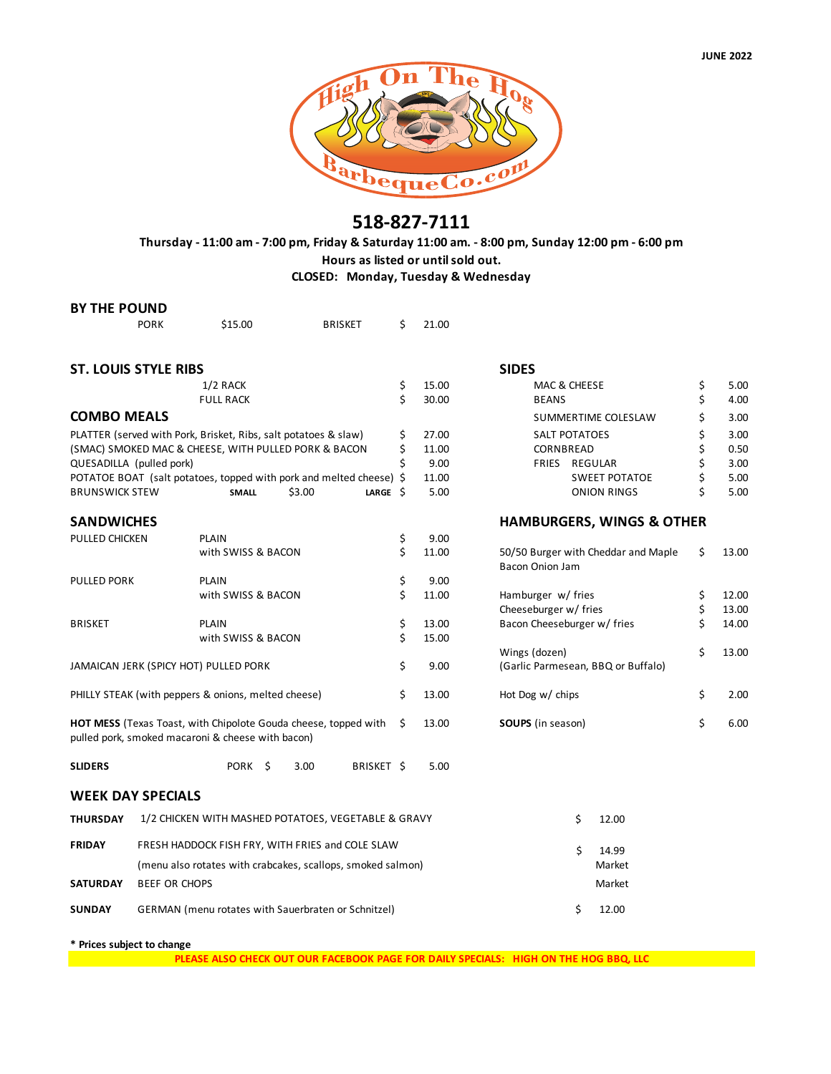

### **518-827-7111**

**Thursday - 11:00 am - 7:00 pm, Friday & Saturday 11:00 am. - 8:00 pm, Sunday 12:00 pm - 6:00 pm Hours as listed or until sold out. CLOSED: Monday, Tuesday & Wednesday**

| <b>BY THE POUND</b>                                             |                                                             |                                                                                                                             |        |                |       |               |                                                     |                                                        |             |
|-----------------------------------------------------------------|-------------------------------------------------------------|-----------------------------------------------------------------------------------------------------------------------------|--------|----------------|-------|---------------|-----------------------------------------------------|--------------------------------------------------------|-------------|
|                                                                 | <b>PORK</b>                                                 | \$15.00                                                                                                                     |        | <b>BRISKET</b> | \$    | 21.00         |                                                     |                                                        |             |
| <b>ST. LOUIS STYLE RIBS</b>                                     |                                                             |                                                                                                                             |        |                |       |               |                                                     | <b>SIDES</b>                                           |             |
|                                                                 |                                                             | $1/2$ RACK                                                                                                                  |        |                | \$    | 15.00         |                                                     | MAC & CHEESE                                           | \$<br>5.00  |
|                                                                 |                                                             | <b>FULL RACK</b>                                                                                                            |        |                | \$    | 30.00         |                                                     | <b>BEANS</b>                                           | \$<br>4.00  |
| <b>COMBO MEALS</b>                                              |                                                             |                                                                                                                             |        |                |       |               | SUMMERTIME COLESLAW                                 | \$<br>3.00                                             |             |
| PLATTER (served with Pork, Brisket, Ribs, salt potatoes & slaw) |                                                             |                                                                                                                             | \$     | 27.00          |       | SALT POTATOES | \$<br>3.00                                          |                                                        |             |
| (SMAC) SMOKED MAC & CHEESE, WITH PULLED PORK & BACON            |                                                             |                                                                                                                             | \$     | 11.00          |       | CORNBREAD     | \$<br>0.50                                          |                                                        |             |
| QUESADILLA (pulled pork)                                        |                                                             |                                                                                                                             |        |                | \$    | 9.00          |                                                     | FRIES REGULAR                                          | \$<br>3.00  |
|                                                                 |                                                             | POTATOE BOAT (salt potatoes, topped with pork and melted cheese) \$                                                         |        |                | 11.00 |               | <b>SWEET POTATOE</b>                                | \$<br>5.00                                             |             |
| <b>BRUNSWICK STEW</b>                                           |                                                             | <b>SMALL</b>                                                                                                                | \$3.00 | LARGE $\oint$  |       | 5.00          |                                                     | <b>ONION RINGS</b>                                     | \$<br>5.00  |
| <b>SANDWICHES</b>                                               |                                                             |                                                                                                                             |        |                |       |               |                                                     | <b>HAMBURGERS, WINGS &amp; OTHER</b>                   |             |
| PULLED CHICKEN                                                  |                                                             | <b>PLAIN</b>                                                                                                                |        |                | \$    | 9.00          |                                                     |                                                        |             |
|                                                                 |                                                             | with SWISS & BACON                                                                                                          |        |                | \$    | 11.00         |                                                     | 50/50 Burger with Cheddar and Maple<br>Bacon Onion Jam | \$<br>13.00 |
| PULLED PORK                                                     |                                                             | <b>PLAIN</b>                                                                                                                |        |                | \$    | 9.00          |                                                     |                                                        |             |
|                                                                 |                                                             | with SWISS & BACON                                                                                                          |        |                | \$    | 11.00         |                                                     | Hamburger w/ fries                                     | \$<br>12.00 |
|                                                                 |                                                             |                                                                                                                             |        |                |       |               |                                                     | Cheeseburger w/ fries                                  | \$<br>13.00 |
| <b>BRISKET</b>                                                  |                                                             | <b>PLAIN</b>                                                                                                                |        |                | \$    | 13.00         |                                                     | Bacon Cheeseburger w/ fries                            | \$<br>14.00 |
|                                                                 |                                                             | with SWISS & BACON                                                                                                          |        |                | \$    | 15.00         |                                                     |                                                        | \$<br>13.00 |
| JAMAICAN JERK (SPICY HOT) PULLED PORK                           |                                                             |                                                                                                                             |        | \$             | 9.00  |               | Wings (dozen)<br>(Garlic Parmesean, BBQ or Buffalo) |                                                        |             |
| PHILLY STEAK (with peppers & onions, melted cheese)             |                                                             |                                                                                                                             |        | \$             | 13.00 |               | Hot Dog w/ chips                                    | \$<br>2.00                                             |             |
|                                                                 |                                                             | <b>HOT MESS</b> (Texas Toast, with Chipolote Gouda cheese, topped with<br>pulled pork, smoked macaroni & cheese with bacon) |        |                | Ś.    | 13.00         |                                                     | <b>SOUPS</b> (in season)                               | \$<br>6.00  |
| <b>SLIDERS</b>                                                  |                                                             | PORK \$                                                                                                                     | 3.00   | BRISKET \$     |       | 5.00          |                                                     |                                                        |             |
| <b>WEEK DAY SPECIALS</b>                                        |                                                             |                                                                                                                             |        |                |       |               |                                                     |                                                        |             |
| <b>THURSDAY</b>                                                 | 1/2 CHICKEN WITH MASHED POTATOES, VEGETABLE & GRAVY         |                                                                                                                             |        |                |       |               |                                                     | \$<br>12.00                                            |             |
| <b>FRIDAY</b>                                                   | FRESH HADDOCK FISH FRY, WITH FRIES and COLE SLAW            |                                                                                                                             |        |                |       |               |                                                     | \$<br>14.99                                            |             |
|                                                                 | (menu also rotates with crabcakes, scallops, smoked salmon) |                                                                                                                             |        |                |       |               |                                                     | Market                                                 |             |
| <b>BEEF OR CHOPS</b><br><b>SATURDAY</b>                         |                                                             |                                                                                                                             |        |                |       |               | Market                                              |                                                        |             |
| <b>SUNDAY</b>                                                   |                                                             | <b>GERMAN</b> (menu rotates with Sauerbraten or Schnitzel)                                                                  |        |                |       |               |                                                     | \$<br>12.00                                            |             |
|                                                                 |                                                             |                                                                                                                             |        |                |       |               |                                                     |                                                        |             |

**\* Prices subject to change**

**PLEASE ALSO CHECK OUT OUR FACEBOOK PAGE FOR DAILY SPECIALS: HIGH ON THE HOG BBQ, LLC**